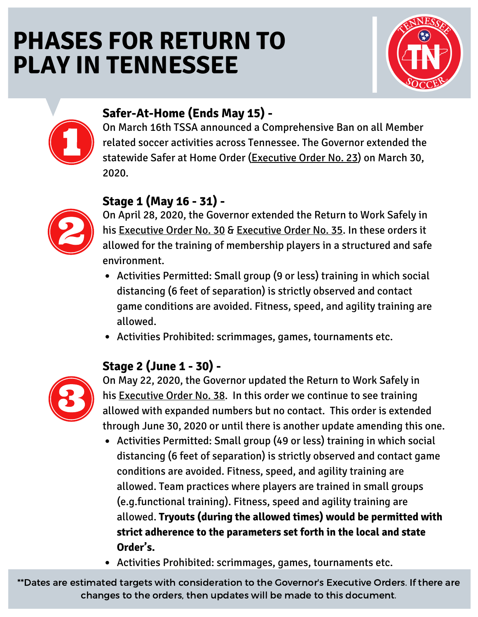# **PHASES FOR RETURN TO PLAY IN TENNESSEE**





## **Safer-At-Home (Ends May 15) -**

On March 16th TSSA announced a Comprehensive Ban on all Member related soccer activities across Tennessee. The Governor extended the statewide Safer at Home Order [\(Executive](https://publications.tnsosfiles.com/pub/execorders/exec-orders-lee23.pdf) Order No. 23) on March 30, 2020.

### **Stage 1 (May 16 - 31) -**



On April 28, 2020, the Governor extended the Return to Work Safely in his [Executive](https://publications.tnsosfiles.com/pub/execorders/exec-orders-lee35.pdf) Order No. 30 & Executive Order No. 35. In these orders it allowed for the training of membership players in a structured and safe environment.

- Activities Permitted: Small group (9 or less) training in which social distancing (6 feet of separation) is strictly observed and contact game conditions are avoided. Fitness, speed, and agility training are allowed.
- Activities Prohibited: scrimmages, games, tournaments etc.

### **Stage 2 (June 1 - 30) -**



On May 22, 2020, the Governor updated the Return to Work Safely in his [Executive](https://publications.tnsosfiles.com/pub/execorders/exec-orders-lee38.pdf) Order No. 38. In this order we continue to see training allowed with expanded numbers but no contact. This order is extended through June 30, 2020 or until there is another update amending this one.

- Activities Permitted: Small group (49 or less) training in which social distancing (6 feet of separation) is strictly observed and contact game conditions are avoided. Fitness, speed, and agility training are allowed. Team practices where players are trained in small groups (e.g.functional training). Fitness, speed and agility training are allowed. **Tryouts (during the allowed times) would be permitted with strict adherence to the parameters set forth in the local and state Order's.**
- Activities Prohibited: scrimmages, games, tournaments etc.

\*\*Dates are estimated targets with consideration to the Governor's Executive Orders. If there are changes to the orders, then updates will be made to this document.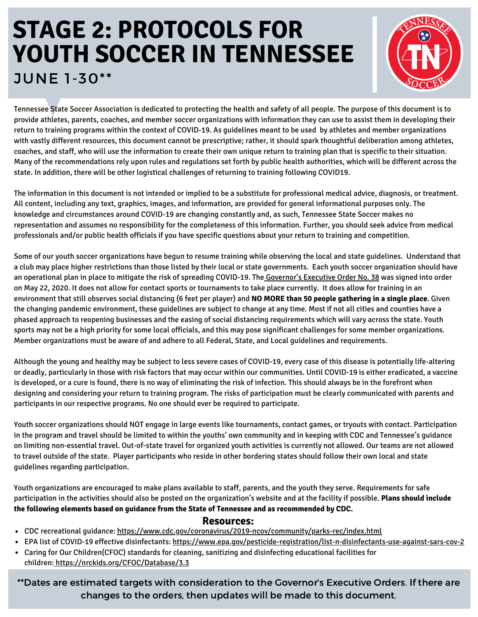# **STAGE 2: PROTOCOLS FOR YOUTH SOCCER IN TENNESSEE** JUNE 1-30\*\*



Tennessee State Soccer Association is dedicated to protecting the health and safety of all people. The purpose of this document is to provide athletes, parents, coaches, and member soccer organizations with information they can use to assist them in developing their return to training programs within the context of COVID-19. As guidelines meant to be used by athletes and member organizations with vastly different resources, this document cannot be prescriptive; rather, it should spark thoughtful deliberation among athletes, coaches, and staff, who will use the information to create their own unique return to training plan that is specific to their situation. Many of the recommendations rely upon rules and regulations set forth by public health authorities, which will be different across the state. In addition, there will be other logistical challenges of returning to training following COVID19.

The information in this document is not intended or implied to be a substitute for professional medical advice, diagnosis, or treatment. All content, including any text, graphics, images, and information, are provided for general informational purposes only. The knowledge and circumstances around COVID-19 are changing constantly and, as such, Tennessee State Soccer makes no representation and assumes no responsibility for the completeness of this information. Further, you should seek advice from medical professionals and/or public health officials if you have specific questions about your return to training and competition.

Some of our youth soccer organizations have begun to resume training while observing the local and state guidelines. Understand that a club may place higher restrictions than those listed by their local or state governments. Each youth soccer organization should have an operational plan in place to mitigate the risk of spreading COVID-19. The [Governor's](https://publications.tnsosfiles.com/pub/execorders/exec-orders-lee38.pdf) Executive Order No. 38 was signed into order on May 22, 2020. It does not allow for contact sports or tournaments to take place currently. It does allow for training in an environment that still observes social distancing (6 feet per player) and **NO MORE than 50 people gathering in a single place**. Given the changing pandemic environment, these guidelines are subject to change at any time. Most if not all cities and counties have a phased approach to reopening businesses and the easing of social distancing requirements which will vary across the state. Youth sports may not be a high priority for some local officials, and this may pose significant challenges for some member organizations. Member organizations must be aware of and adhere to all Federal, State, and Local guidelines and requirements.

Although the young and healthy may be subject to less severe cases of COVID-19, every case of this disease is potentially life-altering or deadly, particularly in those with risk factors that may occur within our communities. Until COVID-19 is either eradicated, a vaccine is developed, or a cure is found, there is no way of eliminating the risk of infection. This should always be in the forefront when designing and considering your return to training program. The risks of participation must be clearly communicated with parents and participants in our respective programs. No one should ever be required to participate.

Youth soccer organizations should NOT engage in large events like tournaments, contact games, or tryouts with contact. Participation in the program and travel should be limited to within the youths' own community and in keeping with CDC and Tennessee's guidance on limiting non-essential travel. Out-of-state travel for organized youth activities is currently not allowed. Our teams are not allowed to travel outside of the state. Player participants who reside in other bordering states should follow their own local and state guidelines regarding participation.

Youth organizations are encouraged to make plans available to staff, parents, and the youth they serve. Requirements for safe participation in the activities should also be posted on the organization's website and at the facility if possible. **Plans should include the following elements based on guidance from the State of Tennessee and as recommended by CDC.**

#### **Resources:**

- CDC recreational guidance: <https://www.cdc.gov/coronavirus/2019-ncov/community/parks-rec/index.html>
- EPA list of COVID-19 effective disinfectants: <https://www.epa.gov/pesticide-registration/list-n-disinfectants-use-against-sars-cov-2>
- Caring for Our Children(CFOC) standards for cleaning, sanitizing and disinfecting educational facilities for children: <https://nrckids.org/CFOC/Database/3.3>

\*\*Dates are estimated targets with consideration to the Governor's Executive Orders. If there are changes to the orders, then updates will be made to this document.